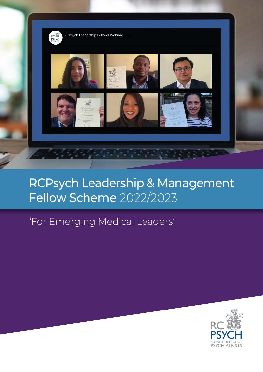

## RCPsych Leadership & Management Fellow Scheme 2022/2023

## 'For Emerging Medical Leaders'